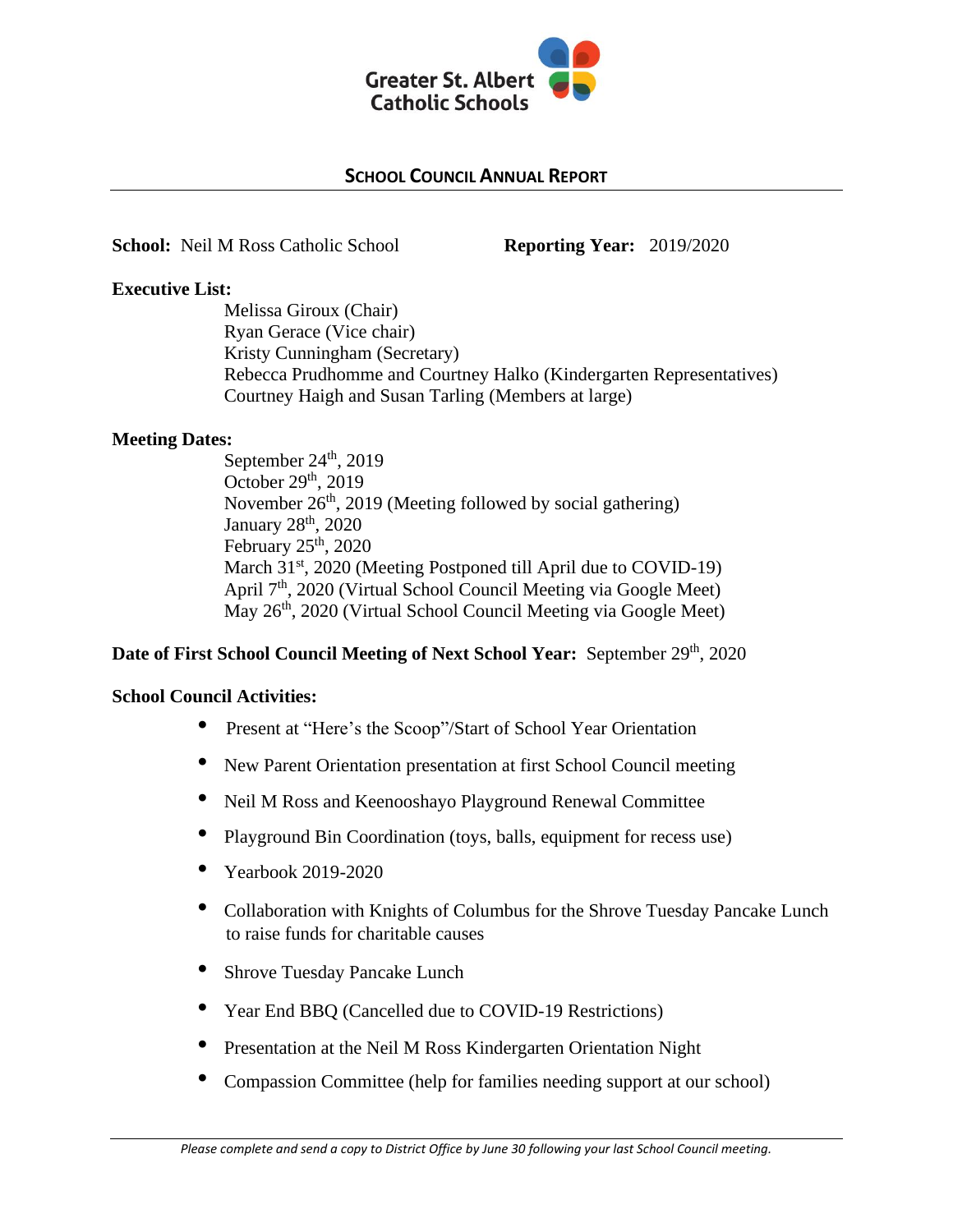

# **SCHOOL COUNCIL ANNUAL REPORT**

**School:** Neil M Ross Catholic School **Reporting Year:** 2019/2020

### **Executive List:**

Melissa Giroux (Chair) Ryan Gerace (Vice chair) Kristy Cunningham (Secretary) Rebecca Prudhomme and Courtney Halko (Kindergarten Representatives) Courtney Haigh and Susan Tarling (Members at large)

### **Meeting Dates:**

September  $24<sup>th</sup>$ , 2019 October  $29<sup>th</sup>$ , 2019 November 26<sup>th</sup>, 2019 (Meeting followed by social gathering) January 28<sup>th</sup>, 2020 February  $25<sup>th</sup>$ , 2020 March 31<sup>st</sup>, 2020 (Meeting Postponed till April due to COVID-19) April 7<sup>th</sup>, 2020 (Virtual School Council Meeting via Google Meet) May 26<sup>th</sup>, 2020 (Virtual School Council Meeting via Google Meet)

# Date of First School Council Meeting of Next School Year: September 29<sup>th</sup>, 2020

#### **School Council Activities:**

- Present at "Here's the Scoop"/Start of School Year Orientation
- New Parent Orientation presentation at first School Council meeting
- Neil M Ross and Keenooshayo Playground Renewal Committee
- Playground Bin Coordination (toys, balls, equipment for recess use)
- Yearbook 2019-2020
- Collaboration with Knights of Columbus for the Shrove Tuesday Pancake Lunch to raise funds for charitable causes
- **Shrove Tuesday Pancake Lunch**
- Year End BBQ (Cancelled due to COVID-19 Restrictions)
- Presentation at the Neil M Ross Kindergarten Orientation Night
- Compassion Committee (help for families needing support at our school)